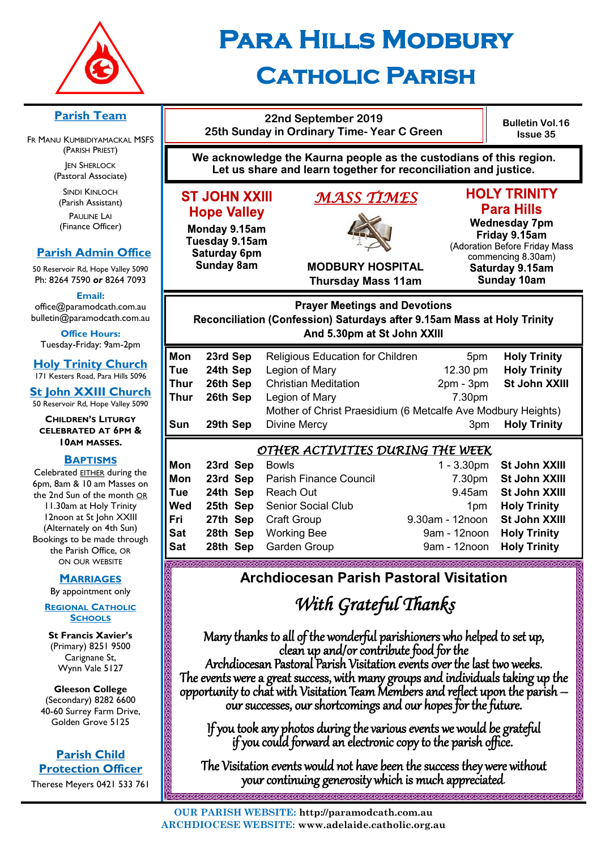

# **Para Hills Modbury Catholic Parish**

#### **Parish Team**

FR MANU KUMBIDIYAMACKAL MSFS (PARISH PRIEST) **JEN SHERLOCK** 

(Pastoral Associate)

SINDI KINLOCH (Parish Assistant) PAULINE LAI (Finance Officer)

#### **Parish Admin Office**

50 Reservoir Rd, Hope Valley 5090 Ph: 8264 7590 *or* 8264 7093

**Email:** 

office@paramodcath.com.au bulletin@paramodcath.com.au

**Office Hours:**  Tuesday-Friday: 9am-2pm

**Holy Trinity Church** 171 Kesters Road, Para Hills 5096

**St John XXIII Church** 50 Reservoir Rd, Hope Valley 5090

#### **CHILDREN'S LITURGY CELEBRATED AT 6PM & 10AM MASSES.**

#### **BAPTISMS**

Celebrated EITHER during the 6pm, 8am & 10 am Masses on the 2nd Sun of the month OR 11.30am at Holy Trinity 12noon at St John XXIII (Alternately on 4th Sun) Bookings to be made through the Parish Office, OR ON OUR WEBSITE

**MARRIAGES**

By appointment only

**REGIONAL CATHOLIC SCHOOLS**

**St Francis Xavier's**  (Primary) 8251 9500 Carignane St, Wynn Vale 5127

**Gleeson College**  (Secondary) 8282 6600 40-60 Surrey Farm Drive, Golden Grove 5125

#### **Parish Child Protection Officer**

Therese Meyers 0421 533 761

| 25th Sunday in Ordinary Time- Year C Green             |                                                                                                                                       | <b>BUILEUR VOI</b><br><b>Issue 35</b> |                                                                                           |
|--------------------------------------------------------|---------------------------------------------------------------------------------------------------------------------------------------|---------------------------------------|-------------------------------------------------------------------------------------------|
|                                                        | We acknowledge the Kaurna people as the custodians of this region.<br>Let us share and learn together for reconciliation and justice. |                                       |                                                                                           |
| <b>IIIXX AHOL T</b> a<br><b>Hope Valley</b>            | MASS TIMES                                                                                                                            |                                       | <b>HOLY TRINITY</b><br><b>Para Hills</b>                                                  |
| Monday 9.15am<br>Tuesday 9.15am<br><b>Saturday 6pm</b> |                                                                                                                                       |                                       | <b>Wednesday 7pm</b><br>Friday 9.15am<br>(Adoration Before Friday N<br>commencing 8.30am) |
| <b>Sunday 8am</b>                                      | <b>MODBURY HOSPITAL</b>                                                                                                               |                                       | Saturday 9 15am                                                                           |

**22nd September 2019**

**ST JOHN X** 

# **Issue 35**

**Bulletin Vol.16**

**Para Hills Wednesday 7pm** Friday 9.15am **Adoration Before Friday Mass** commencing 8.30am) Saturday 9.15am **Sunday 10am** 

**COCOCOCOCOCOCOCO** 

**MODBURY HOSPITAL Thursday Mass 11am**

#### **Prayer Meetings and Devotions** Reconciliation (Confession) Saturdays after 9.15am Mass at Holy Trinity And 5.30pm at St John XXIII

| Mon  | 23rd Sep | <b>Religious Education for Children</b>                      | 5 <sub>pm</sub> | <b>Holy Trinity</b>  |
|------|----------|--------------------------------------------------------------|-----------------|----------------------|
| Tue  | 24th Sep | Legion of Mary                                               | 12.30 pm        | <b>Holy Trinity</b>  |
| Thur | 26th Sep | <b>Christian Meditation</b>                                  | $2pm - 3pm$     | <b>St John XXIII</b> |
| Thur | 26th Sep | Legion of Mary                                               | 7.30pm          |                      |
|      |          | Mother of Christ Praesidium (6 Metcalfe Ave Modbury Heights) |                 |                      |
| Sun  | 29th Sep | <b>Divine Mercy</b>                                          | 3 <sub>pm</sub> | <b>Holy Trinity</b>  |

#### *OTHER ACTIVITIES DURING THE WEEK*

| Mon | 23rd Sep Bowls |                                 |                               | 1 - 3.30pm St John XXIII |
|-----|----------------|---------------------------------|-------------------------------|--------------------------|
| Mon |                | 23rd Sep Parish Finance Council |                               | 7.30pm St John XXIII     |
| Tue |                | 24th Sep Reach Out              |                               | 9.45am St John XXIII     |
| Wed |                | 25th Sep Senior Social Club     |                               | 1pm Holy Trinity         |
| Fri |                | 27th Sep Craft Group            | 9.30am - 12noon St John XXIII |                          |
| Sat |                | 28th Sep Working Bee            | 9am - 12noon Holy Trinity     |                          |
| Sat |                | 28th Sep Garden Group           | 9am - 12noon Holy Trinity     |                          |
|     |                |                                 |                               |                          |

## **Archdiocesan Parish Pastoral Visitation**

## *With Grateful Thanks*

Many thanks to all of the wonderful parishioners who helped to set up, clean up and/or contribute food for the Archdiocesan Pastoral Parish Visitation events over the last two weeks. The events were a great success, with many groups and individuals taking up the opportunity to chat with Visitation Team Members and reflect upon the parish – our successes, our shortcomings and our hopes for the future.

ĺ If you took any photos during the various events we would be grateful if you could forward an electronic copy to the parish office.

The Visitation events would not have been the success they were without your continuing generosity which is much appreciated.

**KARARARARARARARARARARARARAR**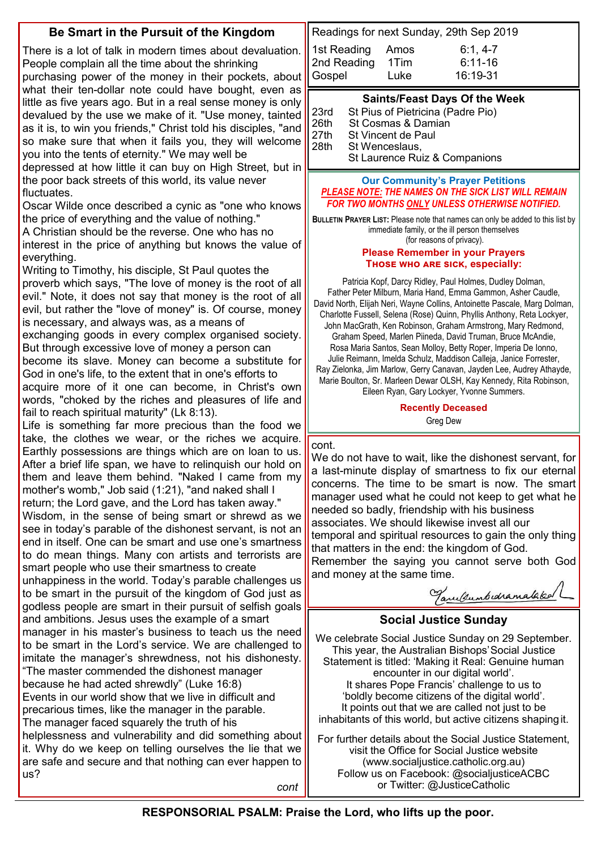### **Be Smart in the Pursuit of the Kingdom**

There is a lot of talk in modern times about devaluation. People complain all the time about the shrinking

purchasing power of the money in their pockets, about what their ten-dollar note could have bought, even as little as five years ago. But in a real sense money is only devalued by the use we make of it. "Use money, tainted as it is, to win you friends," Christ told his disciples, "and so make sure that when it fails you, they will welcome you into the tents of eternity." We may well be

depressed at how little it can buy on High Street, but in the poor back streets of this world, its value never fluctuates.

Oscar Wilde once described a cynic as "one who knows the price of everything and the value of nothing."

A Christian should be the reverse. One who has no interest in the price of anything but knows the value of everything.

Writing to Timothy, his disciple, St Paul quotes the proverb which says, "The love of money is the root of all evil." Note, it does not say that money is the root of all evil, but rather the "love of money" is. Of course, money is necessary, and always was, as a means of

exchanging goods in every complex organised society. But through excessive love of money a person can become its slave. Money can become a substitute for God in one's life, to the extent that in one's efforts to acquire more of it one can become, in Christ's own words, "choked by the riches and pleasures of life and fail to reach spiritual maturity" (Lk 8:13).

Life is something far more precious than the food we take, the clothes we wear, or the riches we acquire. Earthly possessions are things which are on loan to us. After a brief life span, we have to relinquish our hold on them and leave them behind. "Naked I came from my mother's womb," Job said (1:21), "and naked shall I

return; the Lord gave, and the Lord has taken away." Wisdom, in the sense of being smart or shrewd as we see in today's parable of the dishonest servant, is not an end in itself. One can be smart and use one's smartness to do mean things. Many con artists and terrorists are

smart people who use their smartness to create unhappiness in the world. Today's parable challenges us to be smart in the pursuit of the kingdom of God just as godless people are smart in their pursuit of selfish goals and ambitions. Jesus uses the example of a smart manager in his master's business to teach us the need to be smart in the Lord's service. We are challenged to imitate the manager's shrewdness, not his dishonesty. "The master commended the dishonest manager

because he had acted shrewdly" (Luke 16:8) Events in our world show that we live in difficult and precarious times, like the manager in the parable. The manager faced squarely the truth of his

helplessness and vulnerability and did something about it. Why do we keep on telling ourselves the lie that we are safe and secure and that nothing can ever happen to us?

*cont*

| Readings for next Sunday, 29th Sep 2019 |      |             |
|-----------------------------------------|------|-------------|
| 1st Reading                             | Amos | $6:1, 4-7$  |
| 2nd Reading                             | 1Tim | $6:11 - 16$ |
| Gospel                                  | Luke | 16:19-31    |

#### **Saints/Feast Days Of the Week**

| 23rd | St Pius of Pietricina (Padre Pio) |
|------|-----------------------------------|
| 26th | St Cosmas & Damian                |
| 27th | St Vincent de Paul                |
| 28th | St Wenceslaus,                    |
|      | St Laurence Ruiz & Companions     |

#### **Our Community's Prayer Petitions**  *PLEASE NOTE: THE NAMES ON THE SICK LIST WILL REMAIN FOR TWO MONTHS ONLY UNLESS OTHERWISE NOTIFIED.*

**BULLETIN PRAYER LIST:** Please note that names can only be added to this list by immediate family, or the ill person themselves (for reasons of privacy).

#### **Please Remember in your Prayers Those who are sick, especially:**

Patricia Kopf, Darcy Ridley, Paul Holmes, Dudley Dolman, Father Peter Milburn, Maria Hand, Emma Gammon, Asher Caudle, David North, Elijah Neri, Wayne Collins, Antoinette Pascale, Marg Dolman, Charlotte Fussell, Selena (Rose) Quinn, Phyllis Anthony, Reta Lockyer, John MacGrath, Ken Robinson, Graham Armstrong, Mary Redmond, Graham Speed, Marlen Piineda, David Truman, Bruce McAndie, Rosa Maria Santos, Sean Molloy, Betty Roper, Imperia De Ionno, Julie Reimann, Imelda Schulz, Maddison Calleja, Janice Forrester, Ray Zielonka, Jim Marlow, Gerry Canavan, Jayden Lee, Audrey Athayde, Marie Boulton, Sr. Marleen Dewar OLSH, Kay Kennedy, Rita Robinson, Eileen Ryan, Gary Lockyer, Yvonne Summers.

#### **Recently Deceased** Greg Dew

#### cont.

We do not have to wait, like the dishonest servant, for a last-minute display of smartness to fix our eternal concerns. The time to be smart is now. The smart manager used what he could not keep to get what he needed so badly, friendship with his business associates. We should likewise invest all our temporal and spiritual resources to gain the only thing that matters in the end: the kingdom of God. Remember the saying you cannot serve both God and money at the same time.

Tanulumbedramataked

#### **Social Justice Sunday**

We celebrate Social Justice Sunday on 29 September. This year, the Australian Bishops'Social Justice Statement is titled: 'Making it Real: Genuine human encounter in our digital world'. It shares Pope Francis' challenge to us to 'boldly become citizens of the digital world'. It points out that we are called not just to be inhabitants of this world, but active citizens shapingit.

For further details about the Social Justice Statement, visit the Office for Social Justice website (www.socialjustice.catholic.org.au) Follow us on Facebook: @socialjusticeACBC or Twitter: @JusticeCatholic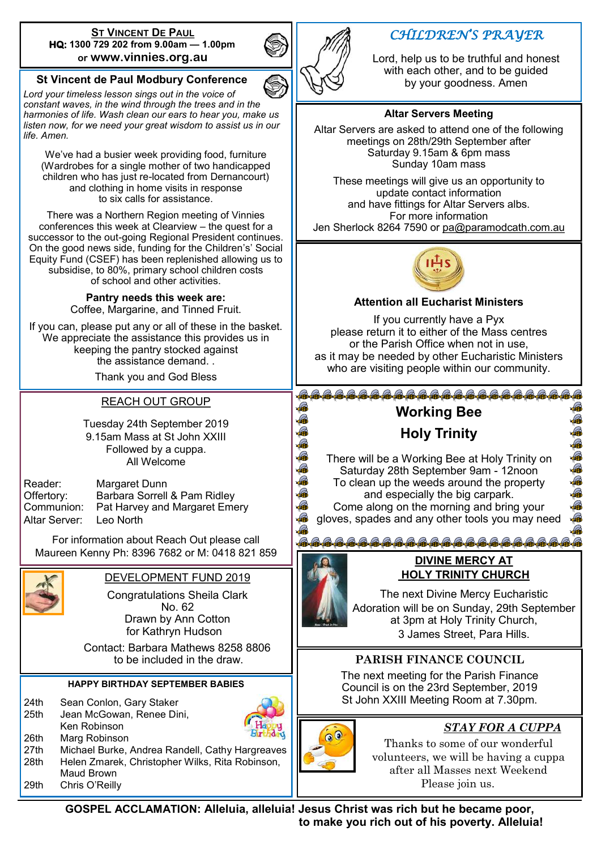#### **ST VINCENT DE PAUL HQ: 1300 729 202 from 9.00am — 1.00pm or www.vinnies.org.au**

#### **St Vincent de Paul Modbury Conference**

*Lord your timeless lesson sings out in the voice of constant waves, in the wind through the trees and in the harmonies of life. Wash clean our ears to hear you, make us listen now, for we need your great wisdom to assist us in our life. Amen.*

We've had a busier week providing food, furniture (Wardrobes for a single mother of two handicapped children who has just re-located from Dernancourt) and clothing in home visits in response to six calls for assistance.

There was a Northern Region meeting of Vinnies conferences this week at Clearview – the quest for a successor to the out-going Regional President continues. On the good news side, funding for the Children's' Social Equity Fund (CSEF) has been replenished allowing us to subsidise, to 80%, primary school children costs of school and other activities.

> **Pantry needs this week are:**  Coffee, Margarine, and Tinned Fruit.

If you can, please put any or all of these in the basket. We appreciate the assistance this provides us in keeping the pantry stocked against the assistance demand. .

Thank you and God Bless

#### REACH OUT GROUP

Tuesday 24th September 2019 9.15am Mass at St John XXIII Followed by a cuppa. All Welcome

Reader: Margaret Dunn Altar Server: Leo North

Offertory: Barbara Sorrell & Pam Ridley Pat Harvey and Margaret Emery

For information about Reach Out please call Maureen Kenny Ph: 8396 7682 or M: 0418 821 859



DEVELOPMENT FUND 2019 Congratulations Sheila Clark No. 62 Drawn by Ann Cotton

for Kathryn Hudson

 Contact: Barbara Mathews 8258 8806 to be included in the draw.

#### **HAPPY BIRTHDAY SEPTEMBER BABIES**

| 24 <sub>th</sub> | Sean Conlon, Gary Staker                        |
|------------------|-------------------------------------------------|
| 25th             | Jean McGowan, Renee Dini,                       |
|                  | Ken Robinson                                    |
| 26th             | Marg Robinson                                   |
| 27th             | Michael Burke, Andrea Randell, Cathy Hargreaves |
| 28th             | Helen Zmarek, Christopher Wilks, Rita Robinson, |
|                  | Maud Brown                                      |
| 29th             | Chris O'Reilly                                  |



## *CHILDREN'S PRAYER*

Lord, help us to be truthful and honest with each other, and to be guided by your goodness. Amen

#### **Altar Servers Meeting**

Altar Servers are asked to attend one of the following meetings on 28th/29th September after Saturday 9.15am & 6pm mass Sunday 10am mass

These meetings will give us an opportunity to update contact information and have fittings for Altar Servers albs. For more information Jen Sherlock 8264 7590 or [pa@paramodcath.com.au](mailto:pa@paramodcath.com.au)



#### **Attention all Eucharist Ministers**

If you currently have a Pyx please return it to either of the Mass centres or the Parish Office when not in use, as it may be needed by other Eucharistic Ministers who are visiting people within our community.

## **Working Bee**

## **Holy Trinity**

There will be a Working Bee at Holy Trinity on Saturday 28th September 9am - 12noon To clean up the weeds around the property and especially the big carpark. Come along on the morning and bring your gloves, spades and any other tools you may need

> **DIVINE MERCY AT HOLY TRINITY CHURCH**

<del>&&&&&&&&&&&&&</del>

The next Divine Mercy Eucharistic Adoration will be on Sunday, 29th September at 3pm at Holy Trinity Church, 3 James Street, Para Hills.

### **PARISH FINANCE COUNCIL**

The next meeting for the Parish Finance Council is on the 23rd September, 2019 St John XXIII Meeting Room at 7.30pm.



## *STAY FOR A CUPPA*

あああああああある

Thanks to some of our wonderful volunteers, we will be having a cuppa after all Masses next Weekend Please join us.

**GOSPEL ACCLAMATION: Alleluia, alleluia! Jesus Christ was rich but he became poor, to make you rich out of his poverty. Alleluia!**